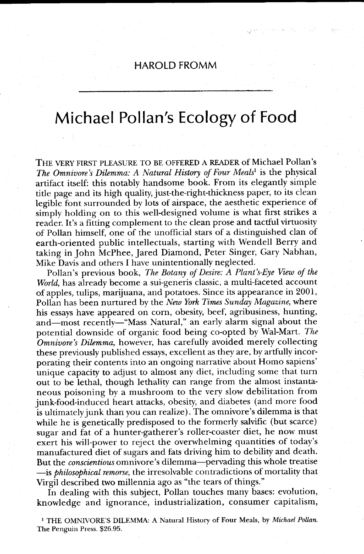## HAROLD FROMM

## Michael Pollan's Ecology of Food

THE VERY FIRST PLEASURE TO BE OFFERED A READER of Michael Pollan's The Omnivore's Dilemma: A Natural History of Four Meals<sup>1</sup> is the physical artifact itself: this notably handsome book. From its elegantly simple title page and its high qualiry just-the-right-thickness paper, to its clean legible font surrounded by lots of airspace, the aesthetic experience of simply holding on to this well-designed volume is what first strikes a reader. It's a fitting complement to the clean prose and tactful virtuosity of Pollan himself, one of the unofficial stars of a distinguished clan of earth-oriented public intellectuals, starting with Wendell Berry and taking in John McPhee, Jared Diamond, Peter Singer, Gary Nabhan, Mike Davis and others I have unintentionally neglected.

Pollan's previous book, The Botany of Desire: A Plant's-Eye View of the World, has already become a sui-generis classic, a multi-faceted account of apples, tulips, marijuana, and potatoes. Since its appearance in 2001, Pollan has been nurtured by the New York Times Sunday Magazine, where his essays have appeared on corn, obesity, beef, agribusiness, hunting, and-most recently-"Mass Natural," an early alarm signal about the potential downside of organic food being co-opted by Wal-Matt. The Omnivore's Dilemma, however, has carefully avoided merely collecting these previously published essays, excellent as they are, by artfully incorporating their contents into an ongoing narrative about Homo sapiens' unique capacity to adjust to almost any diet, including some that turn out to be lethal, though lethality can range from the almost instantaneous poisoning by a mushroom to the very slow debilitation from junk-food-induced heart attacks, obesity, and diabetes (and more food is ultimatelyjunk than you can realize). The omnivore's dilemma is that while he is genetically predisposed to the formerly salvific (but scarce) sugar and fat of a hunter-gatherer's roller-coaster diet, he now must exert his will-power to reject the overwhelming quantities of today's manufactured diet of sugars and fats driving him to debility and death. But the *conscientious* omnivore's dilemma-pervading this whole treatise -is *philosophical remorse*, the irresolvable contradictions of mortality that Virgil described two millennia ago as "the tears of things."

In dealing with this subject, Pollan touches many bases: evolution, knowledge and ignorance, industrialization, consumer capitalism,

<sup>1</sup> THE OMNIVORE'S DILEMMA: A Natural History of Four Meals, by Michael Pollan. The Penguin Press. \$26.95.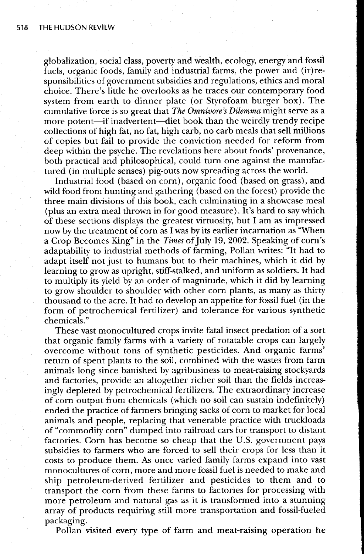globalization, social class, poverty and wealth, ecology, energy and fossil fuels, organic foods, family and industrial farms, the power and (ir)responsibilities of government subsidies and regulations, ethics and moral choice. There's little he overlooks as he traces our contemporary food system from earth to dinner plate (or Styrofoam burger box). The cumulative force is so great that The Omnivore's Dilemma might serve as a more potent-if inadvertent-diet book than the weirdly trendy recipe collections of high fat, no fat, high carb, no carb meals that sell millions of copies but fail to provide the conviction needed for reform from deep within the psyche. The revelations here about foods' provenance, both practical and philosophical, could turn one against the manufactured (in multiple senses) pig-outs now spreading across the world.

Industrial food (based on corn), organic food (based on grass), and wild food from hunting and gathering (based on the forest) provide the three main divisions of this book, each culminating in a showcase meal (plus an extra meal thrown in for good measure). It's hard to say which of these sections displays the greatest virtuosity, but I am as impressed now by the treatment of corn as I was by its earlier incarnation as "When a Crop Becomes King" in the Times of July 19, 2002. Speaking of corn's adaptability to industrial methods of farming, Pollan writes: "It had to adapt iself not just to humans but to their machines, which it did by learning to grow as upright, stiff-stalked, and uniform as soldiers. It had to multiply its yield by an order of magnitude, which it did by learning to grow shoulder to shoulder with other corn plants, as many as thirty thousand to the acre. It had to develop an appetite for fossil fuel (in the form of petrochemical fertilizer) and tolerance for various synthetic chemicals."

These vast monocultured crops invite fatal insect predation of a sort that organic family farms with a variety of rotatable crops can largely overcome without tons of synthetic pesticides. And organic farms' return of spent plants to the soil, combined with the wastes from farm animals long since banished by agribusiness to meat-raising stockyards and factories, provide an altogether richer soil than the helds increasingly depleted by petrochemical fertilizers. The extraordinary increase of corn output from chemicals (which no soil can sustain indefinitely) ended the practice of farmers bringing sacks of corn to market for local animals and people, replacing that venerable practice with truckloads of "commodity corn" dumped into railroad cars for transport to distant factories. Corn has become so cheap that the U.S. government pays subsidies to farmers who are forced to sell their crops for less than it costs to produce them. As once varied family farms expand into vast monocultures of corn, more and more fossil fuel is needed to make and ship petroleum-derived fertilizer and pesticides to them and to transport the corn from these farms to factories for processing with more petroleum and natural gas as it is transformed into a stunning array of products requiring still more transportation and fossil-fueled packaging.

Pollan visited every type of farm and meat-raising operation he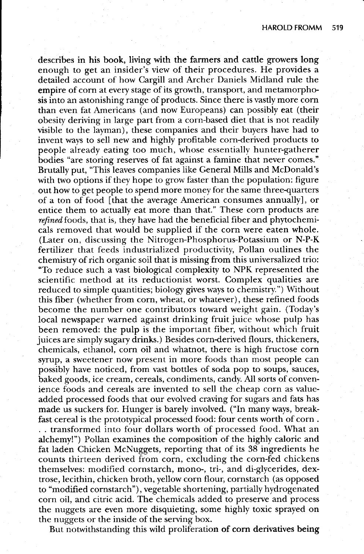describes in his book, living with the farmers and cattle growers long enough to get an insider's view of their procedures. He provides a detailed account of how Cargill and Archer Daniels Midland rule the empire of corn at every stage of is growth, transport, and metamorphosis into an astonishing range of products. Since there is vastly more corn than even fat Americans (and now Europeans) can possibly eat (their obesity deriving in large part from a corn-based diet that is not readily visible to the layman), these companies and their buyers have had to invent ways to sell new and highly profitable corn-derived products to people already eating too much, whose essentially hunter-gatherer bodies "are storing reserves of fat against a famine that never comes." Brutally put, "This leaves companies like General Mills and McDonald's with two options if they hope to grow faster than the population: figure out how to get people to spend more money for the same three-quarters of a ton of food [that the average American consumes annually], or entice them to actually eat more than that." These corn products are refined foods, that is, they have had the beneficial fiber and phytochemicals removed that would be supplied if the corn were eaten whole. (Later on, discussing the Nitrogen-Phosphorus-Potassium or N-P-K fertilizer that feeds industrialized productivity, Pollan outlines the chemistry of rich organic soil that is missing from this universalized trio: "To reduce such a vast biological complexity to NPK represented the scientific method at its reductionist worst. Complex qualities are reduced to simple quantities; biology gives ways to chemistry.") Without this fiber (whether from corn, wheat, or whatever), these refined foods become the number one contributors toward weight gain. (Today's local newspaper warned against drinking fruit juice whose pulp has been removed: the pulp is the important fiber, without which fruit juices are simply sugary drinks.) Besides corn-derived flours, thickeners, chemicals, ethanol, corn oil and whatnot, there is high fructose corn syrup, a sweetener now present in more foods than most people can possibly have noticed, from vast bottles of soda pop to soups, sauces, baked goods, ice cream, cereals, condiments, candy. All sorts of convenience foods and cereals are invented to sell the cheap corn as valueadded processed foods that our evolved craving for sugars and fats has made us suckers for. Hunger is barely involved. ("In many ways, breakfast cereal is the prototypical processed food: four cents worth of corn. . . transformed into four dollars worth of processed food. What an alchemy!") Pollan examines the composition of the highly caloric and fat laden Chicken McNuggets, reporting that of its 38 ingredients he counts thirteen derived from corn, excluding the corn-fed chickens themselves: modified cornstarch, mono-, tri-, and di-glycerides, dextrose, lecithin, chicken broth, yellow corn flour, cornstarch (as opposed to "modified cornstarch" ), vegetable shortening, partially hydrogenated corn oil, and citric acid. The chemicals added to preserve and process the nuggets are even more disquieting, some highly toxic sprayed on the nuggets or the inside of the serving box.

But notwithstanding this wild proliferation of corn derivatives being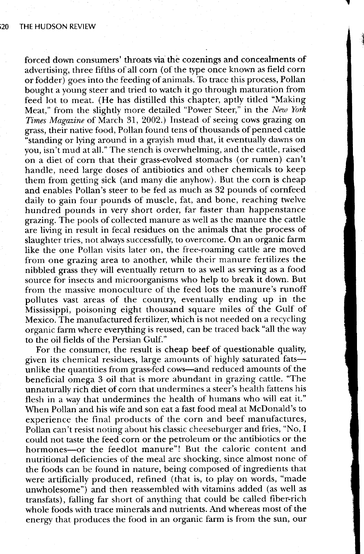forced down consumers' throats via the cozenings and concealments of advertising, three fifths of all corn (of the type once known as field corn or fodder) goes into the feeding of animals. To trace this process, Pollan bought a young steer and tried to watch it go through maturation from feed lot to meat. (He has distilled this chapter, aptly titled "Making Meat," from the slightly more detailed "Power Steer," in the New York Times Magazine of March 31,2002.) Instead of seeing cows grazing on grass, their native food, Pollan found tens of thousands of penned cattle "standing or lying around in a grayish mud that, it eventually dawns on you, isn't mud at all." The stench is overwhelming, and the cattle, raised on a diet of corn that their grass-evolved stomachs (or rumen) can't handle, need large doses of antibiotics and other chemicals to keep them from getting sick (and many die anyhow). But the corn is cheap and enables Pollan's steer to be fed as much as 32 pounds of cornfeed daily to gain four pounds of muscle, fat, and bone, reaching twelve hundred pounds in very short order, far faster than happenstance grazing. The pools of collected manure as well as the manure the cattle are living in result in fecal residues on the animals that the process of slaughter tries, not always successfully, to overcome. On an organic farm like the one Pollan visits later on, the free-roaming cattle are moved from one grazing area to another, while their manure fertilizes the nibbled grass they will eventually return to as well as serving as a food source for insects and microorganisms who help to break it down. But from the massive monoculture of the feed lots the manure's runoff pollutes vast areas of the country, eventually ending up in the Mississippi, poisoning eight thousand square miles of the Gulf of Mexico. The manufactured fertilizer, which is not needed on a recycling organic farm where everything is reused, can be traced back "all the way to the oil fields of the Persian Gulf."

For the consumer, the result is cheap beef of questionable quality, given its chemical residues, large amounts of highly saturated fatsunlike the quantities from grass-fed cows-and reduced amounts of the beneficial omega 3 oil that is more abundant in grazing cattle. "The unnaturally rich diet of corn that undermines a steer's health fattens his flesh in a way that undermines the health of humans who will eat it." When Pollan and his wife and son eat a fast food meal at McDonald's to experience the final products of the corn and beef manufactures, Pollan can't resist noting about his classic cheeseburger and fries, "No, I could not taste the feed corn or the petroleum or the antibiotics or the hormones-or the feedlot manure"! But the caloric content and nutritional deficiencies of the meal are shocking, since almost none of the foods can be found in nature, being composed of ingredients that were artificially produced, refined (that is, to play on words, "made unwholesome") and then reassembled with vitamins added (as well as transfats), falling far short of anything that could be called fiber-rich whole foods with trace minerals and nutrients. And whereas most of the energy that produces the food in an organic farm is from the sun, our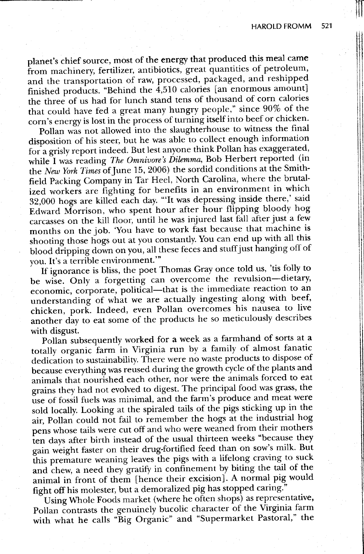NT  $\parallel$ 

planet's chief source, most of the energy that produced this meal came from machinery, fertilizer, antibiotics, great quantities of petroleum, and the transportation of raw, processed, packaged, and reshipped finished products. "Behind the 4,510 calories [an enormous amount] the three of us had for lunch stand tens of thousand of corn calories that could have fed a great many hungry people," since-90%- of the corn's energy is lost in the process of turning itself into beef or chicken.

Pollan was not allowed into the slaughterhouse to witness the final disposition of his steer, but he was able to collect enough information for a grisly report indeed. But lest anyone think Pollan has exaggerated, while I was reading The Omnivore's Dilemma, Bob Herbert reported (in the New York Times of June 15, 2006) the sordid conditions at the Smithfield Packing Company in Tar Heel, North Carolina, where the brutalized workers are fighting for benefits in an environment in which 32,000 hogs are killed each day. "'It was depressing inside there,' said Edward Morrison, who spent hour after hour flipping bloody hog carcasses on the kill floor, until he was injured last fall after just a few months on the job. 'You have to work fast because that machine is shooting those hogs out at you constantly. You can end up with all this blood dripping down on you, all these feces and stuff just hanging off of you. It's a terrible environment."'

If ignorance is bliss, the poet Thomas Gray once told us, 'tis folly to be wise. Only a forgetting can overcome the revulsion-dietary, economic, corporate, political-that is the immediate reaction to an understanding of what we are actually ingesting along with beef, chicken, pork. Indeed, even Pollan overcomes his nausea to live another diy to eat some of the products he so meticulously describes with disgust.

Pollan subsequently worked for a week as a farmhand of sorts at a totally organic farm in Virginia run by a family of almost fanatic dedication to sustainability. There were no waste products to dispose of because everything was reused during the growth cycle of the plants and animals that nourished each other, nor were the animals forced to eat grains they had not evolved to digest. The principal food was grass, the use of fossil fuels was minimal, and the farm's produce and meat were sold locally. Looking at the spiraled tails of the pigs sticking up in the air, Pollan could not fail to remember the hogs at the industrial hog pens whose tails were cut off and who were weaned from their mothers ien days after birth instead of the usual thirteen weeks "because they gain weight faster on their drug-fortified feed than on sow's milk. But this premature weaning leaves the pigs with a lifelong craving to suck and chew, a need they gratify in confinement by biting the tail of the animal in front of them [hence their excision]. A normal pig would fight off his molester, but a demoralized pig has stopped caring."

Using Whole Foods market (where he often shops) as representative, Pollan contrasts the genuinely bucolic character of the Virginia farm with what he calls "Big Organic" and "Supermarket Pastoral," the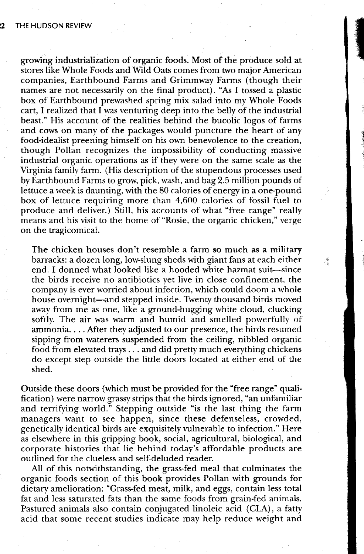growing industrialization of organic foods. Most of the produce sold at stores like Whole Foods and Wild Oats comes from two major American companies, Earthbound Farms and Grimmway Farms (though their names are not necessarily on the final product). "As I tossed a plastic box of Earthbound prewashed spring mix salad into my Whole Foods cart. I realized that  $\overline{\mathrm{I}}$  was venturing deep into the belly of the industrial beast." His account of the realities behind the bucolic logos of farms and cows on many of the packages would puncture the heart of any food-idealist preening himself on his own benevolence to the creation, though Pollan recognizes the impossibility of conducting massive industrial organic operations as if they were on the same scale as the Virginia family farm. (His description of the stupendous processes used by Earthbound Farms to grow' pick, wash, and bag 2.5 million pounds of lettuce a week is daunting, with the 80 calories of energy in a one-pound box of lettuce requiring more than 4,600 calories of fossil fuel to produce and deliver.) Still, his accounts of what "free range" really means and his visit to the home of "Rosie, the organic chicken," verge on the tragicomical.

: 16 a.W

 $\frac{1}{2}$ 

The chicken houses don't resemble a farm so much as a military barracks: a dozen long, low-slung sheds with giant fans at each either end. I donned what looked like a hooded white hazmat suit—since the birds receive no antibiotics yet live in close confinement, the company is ever worried about infection, which could doom a whole house overnight-and stepped inside. Twenty thousand birds moved away from me as one, like a ground-hugging white cloud, clucking softly. The air was warm and humid and smelled powerfully of ammonia. . . . After they adjusted to our presence, the birds resumed sipping from waterers suspended from the ceiling, nibbled organic food from elevated trays  $\ldots$  and did pretty much everything chickens do except step outside the little doors located at either end of the shed.

Ouside these doors (which must be provided for the "free range" qualification) were narrow grassy strips that the birds ignored, "an unfamiliar and terrifying world." Stepping outside "is the last thing the farm managers want to see happen, since these defenseless, crowded, genetically identical birds are exquisitely vulnerable to infection." Here as elsewhere in this gripping book, social, agricultural, biological, and corporate histories that lie behind today's affordable products are outlined for the clueless and self-deluded reader.

All of this notwithstanding, the grass-fed meal that culminates the organic foods section of this book provides Pollan with grounds for dietary amelioration: "Grass-fed meat, milk, and eggs, contain less total fat and less saturated fats than the same foods from grain-fed animals. Pastured animals also contain conjugated linoleic acid (CLA), a fatty acid that some recent studies indicate may help reduce weight and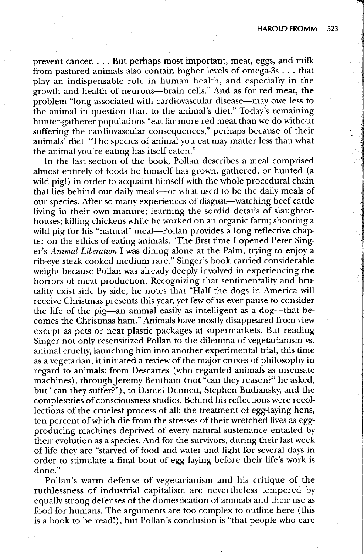prevent cancer. . . . But perhaps most important, meat, eggs, and milk from pastured animals also contain higher levels of omega-3s . . . that play an indispensable role in human health, and especially in the growth and health of neurons-brain cells." And as for red meat, the problem "long associated with cardiovascular disease—may owe less to the animal in question than to the animal's diet." Today's remaining hunter-gatherer populations "eat far more red meat than we do without suffering the cardiovascular consequences," perhaps because of their animals' diet. "The species of animal you eat may matter less than what the animal you're eating has itself eaten."

In the last section of the book, Pollan describes a meal comprised almost entirely of foods he himself has grown, gathered, or hunted (a wild pig!) in order to acquaint himself with the whole procedural chain that lies behind our daily meals-or what used to be the daily meals of our species. After so many experiences of disgust-watching beef cattle living in their own manure; learning the sordid details of slaughterhouses; killing chickens while he worked on an organic farm; shooting a wild pig for his "natural" meal—Pollan provides a long reflective chapter on the ethics of eating animals. "The first time I opened Peter Singer's Animal Liberation I was dining alone at the Palm, trying to enjoy a rib-eye steak cooked medium rare." Singer's book carried considerable weight because Pollan was already deeply involved in experiencing the horrors of meat production. Recognizing that sentimentality and brutality exist side by side, he notes that "Half the dogs in America will receive Christmas presents this year, yet few of us ever pause to consider the life of the pig—an animal easily as intelligent as a dog—that becomes the Christmas ham." Animals have mostly disappeared from view except as pets or neat plastic packages at supermarkets. But reading Singer not only resensitized Pollan to the dilemma of vegetarianism vs. animal cruelty, launching him into another experimental trial, this time as a vegetarian, it initiated a review of the major cruxes of philosophy in regard to animals: from Descartes (who regarded animals as insensate machines), through Jeremy Bentham (not "can they reason?" he asked, but "can they suffer?"), to Daniel Dennett, Stephen Budiansky, and the complexities of consciousness studies. Behind his reflections were recollections of the cruelest process of all: the treatment of egg-laying hens, ten percent of which die from the stresses of their wretched lives as eggproducing machines deprived of every natural sustenance entailed by their evolution as a species. And for the survivors, during their last week of life they are "starved of food and water and light for several days in order to stimulate a final bout of egg laying before their life's work is done."

Pollan's warm defense of vegetarianism and his critique of the ruthlessness of industrial capitalism are nevertheless tempered by equally strong defenses of the domestication of animals and their use as food for humans. The arguments are too complex to outline here (this is a book to be read!), but Pollan's conclusion is "that people who care